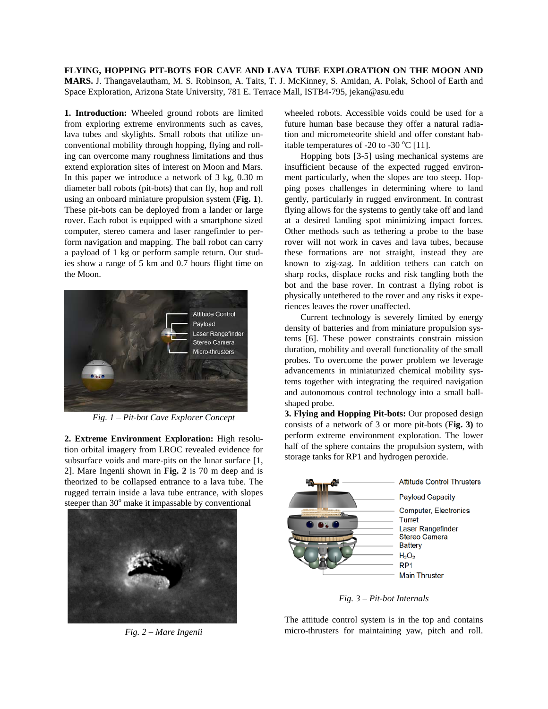**FLYING, HOPPING PIT-BOTS FOR CAVE AND LAVA TUBE EXPLORATION ON THE MOON AND MARS.** J. Thangavelautham, M. S. Robinson, A. Taits, T. J. McKinney, S. Amidan, A. Polak, School of Earth and Space Exploration, Arizona State University, 781 E. Terrace Mall, ISTB4-795, jekan@asu.edu

**1. Introduction:** Wheeled ground robots are limited from exploring extreme environments such as caves, lava tubes and skylights. Small robots that utilize unconventional mobility through hopping, flying and rolling can overcome many roughness limitations and thus extend exploration sites of interest on Moon and Mars. In this paper we introduce a network of 3 kg, 0.30 m diameter ball robots (pit-bots) that can fly, hop and roll using an onboard miniature propulsion system (**Fig. 1**). These pit-bots can be deployed from a lander or large rover. Each robot is equipped with a smartphone sized computer, stereo camera and laser rangefinder to perform navigation and mapping. The ball robot can carry a payload of 1 kg or perform sample return. Our studies show a range of 5 km and 0.7 hours flight time on the Moon.



*Fig. 1 – Pit-bot Cave Explorer Concept*

**2. Extreme Environment Exploration:** High resolution orbital imagery from LROC revealed evidence for subsurface voids and mare-pits on the lunar surface [1, 2]. Mare Ingenii shown in **Fig. 2** is 70 m deep and is theorized to be collapsed entrance to a lava tube. The rugged terrain inside a lava tube entrance, with slopes steeper than  $30^{\circ}$  make it impassable by conventional



*Fig. 2 – Mare Ingenii*

wheeled robots. Accessible voids could be used for a future human base because they offer a natural radiation and micrometeorite shield and offer constant habitable temperatures of -20 to -30  $^{\circ}$ C [11].

Hopping bots [3-5] using mechanical systems are insufficient because of the expected rugged environment particularly, when the slopes are too steep. Hopping poses challenges in determining where to land gently, particularly in rugged environment. In contrast flying allows for the systems to gently take off and land at a desired landing spot minimizing impact forces. Other methods such as tethering a probe to the base rover will not work in caves and lava tubes, because these formations are not straight, instead they are known to zig-zag. In addition tethers can catch on sharp rocks, displace rocks and risk tangling both the bot and the base rover. In contrast a flying robot is physically untethered to the rover and any risks it experiences leaves the rover unaffected.

Current technology is severely limited by energy density of batteries and from miniature propulsion systems [6]. These power constraints constrain mission duration, mobility and overall functionality of the small probes. To overcome the power problem we leverage advancements in miniaturized chemical mobility systems together with integrating the required navigation and autonomous control technology into a small ballshaped probe.

**3. Flying and Hopping Pit-bots:** Our proposed design consists of a network of 3 or more pit-bots (**Fig. 3)** to perform extreme environment exploration. The lower half of the sphere contains the propulsion system, with storage tanks for RP1 and hydrogen peroxide.



*Fig. 3 – Pit-bot Internals*

The attitude control system is in the top and contains micro-thrusters for maintaining yaw, pitch and roll.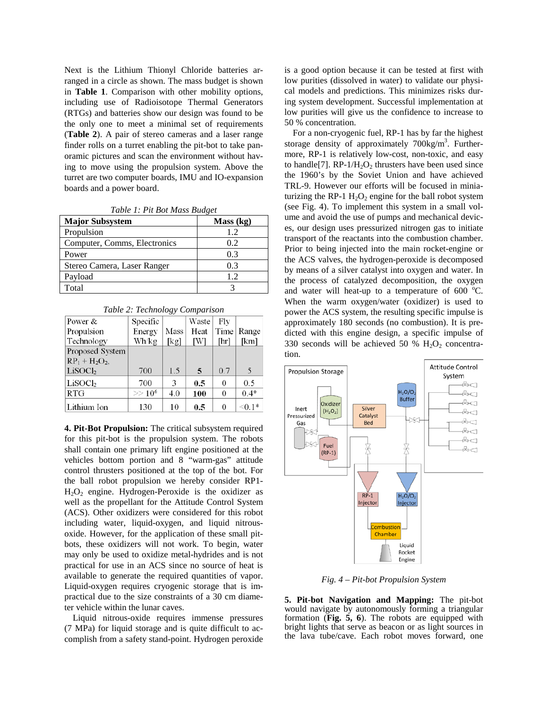Next is the Lithium Thionyl Chloride batteries arranged in a circle as shown. The mass budget is shown in **Table 1**. Comparison with other mobility options, including use of Radioisotope Thermal Generators (RTGs) and batteries show our design was found to be the only one to meet a minimal set of requirements (**Table 2**). A pair of stereo cameras and a laser range finder rolls on a turret enabling the pit-bot to take panoramic pictures and scan the environment without having to move using the propulsion system. Above the turret are two computer boards, IMU and IO-expansion boards and a power board.

*Table 1: Pit Bot Mass Budget*

| <b>Major Subsystem</b>       | Mass (kg) |
|------------------------------|-----------|
| Propulsion                   | 12        |
| Computer, Comms, Electronics | 0.2       |
| Power                        | 0.3       |
| Stereo Camera, Laser Ranger  | 0.3       |
| Payload                      | 12        |
| Total                        |           |

| Power &             | Specific  |      | Waste | Flv              |        |
|---------------------|-----------|------|-------|------------------|--------|
| Propulsion          | Energy    | Mass | Heat  | Time             | Range  |
| Technology          | Wh/kg     | [kg] | [W]   | [hr]             | [km]   |
| Proposed System     |           |      |       |                  |        |
| $RP_1 + H_2O_2$ ,   |           |      |       |                  |        |
|                     |           |      |       |                  |        |
| LiSOCl <sub>2</sub> | 700       | 1.5  | 5     | 0.7              | 5      |
| LiSOCl <sub>2</sub> | 700       | 3    | 0.5   | $\boldsymbol{0}$ | 0.5    |
| <b>RTG</b>          | $>> 10^6$ | 4.0  | 100   | $\theta$         | $0.4*$ |

**4. Pit-Bot Propulsion:** The critical subsystem required for this pit-bot is the propulsion system. The robots shall contain one primary lift engine positioned at the vehicles bottom portion and 8 "warm-gas" attitude control thrusters positioned at the top of the bot. For the ball robot propulsion we hereby consider RP1- H2O2 engine. Hydrogen-Peroxide is the oxidizer as well as the propellant for the Attitude Control System (ACS). Other oxidizers were considered for this robot including water, liquid-oxygen, and liquid nitrousoxide. However, for the application of these small pitbots, these oxidizers will not work. To begin, water may only be used to oxidize metal-hydrides and is not practical for use in an ACS since no source of heat is available to generate the required quantities of vapor. Liquid-oxygen requires cryogenic storage that is impractical due to the size constraints of a 30 cm diameter vehicle within the lunar caves.

Liquid nitrous-oxide requires immense pressures (7 MPa) for liquid storage and is quite difficult to accomplish from a safety stand-point. Hydrogen peroxide is a good option because it can be tested at first with low purities (dissolved in water) to validate our physical models and predictions. This minimizes risks during system development. Successful implementation at low purities will give us the confidence to increase to 50 % concentration.

For a non-cryogenic fuel, RP-1 has by far the highest storage density of approximately  $700\text{kg/m}^3$ . Furthermore, RP-1 is relatively low-cost, non-toxic, and easy to handle<sup>[7]</sup>. RP-1/ $H_2O_2$  thrusters have been used since the 1960's by the Soviet Union and have achieved TRL-9. However our efforts will be focused in miniaturizing the RP-1  $H_2O_2$  engine for the ball robot system (see Fig. 4). To implement this system in a small volume and avoid the use of pumps and mechanical devices, our design uses pressurized nitrogen gas to initiate transport of the reactants into the combustion chamber. Prior to being injected into the main rocket-engine or the ACS valves, the hydrogen-peroxide is decomposed by means of a silver catalyst into oxygen and water. In the process of catalyzed decomposition, the oxygen and water will heat-up to a temperature of  $600^{\circ}$ C. When the warm oxygen/water (oxidizer) is used to power the ACS system, the resulting specific impulse is approximately 180 seconds (no combustion). It is predicted with this engine design, a specific impulse of 330 seconds will be achieved 50 %  $H_2O_2$  concentration.



*Fig. 4 – Pit-bot Propulsion System*

**5. Pit-bot Navigation and Mapping:** The pit-bot would navigate by autonomously forming a triangular formation (**Fig. 5, 6**). The robots are equipped with bright lights that serve as beacon or as light sources in the lava tube/cave. Each robot moves forward, one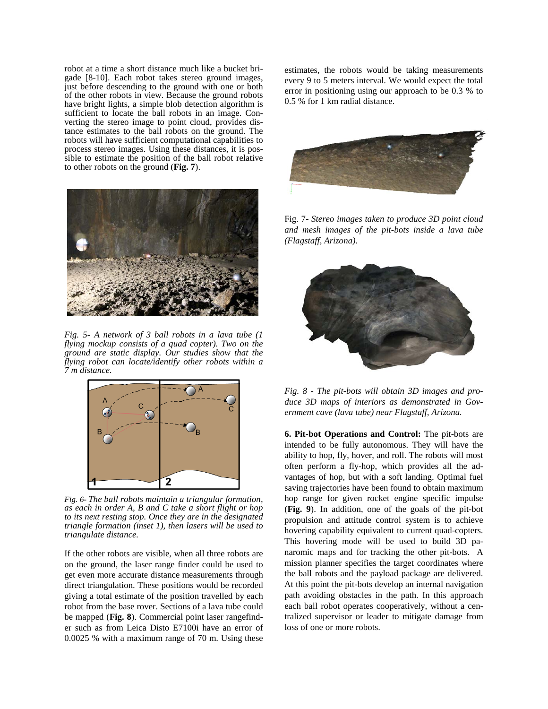robot at a time a short distance much like a bucket brigade [8-10]. Each robot takes stereo ground images, just before descending to the ground with one or both of the other robots in view. Because the ground robots have bright lights, a simple blob detection algorithm is sufficient to locate the ball robots in an image. Converting the stereo image to point cloud, provides distance estimates to the ball robots on the ground. The robots will have sufficient computational capabilities to process stereo images. Using these distances, it is possible to estimate the position of the ball robot relative to other robots on the ground (**Fig. 7**).



*Fig. 5- A network of 3 ball robots in a lava tube (1 flying mockup consists of a quad copter). Two on the ground are static display. Our studies show that the flying robot can locate/identify other robots within a 7 m distance.*



*Fig. 6- The ball robots maintain a triangular formation, as each in order A, B and C take a short flight or hop to its next resting stop. Once they are in the designated triangle formation (inset 1), then lasers will be used to triangulate distance.*

If the other robots are visible, when all three robots are on the ground, the laser range finder could be used to get even more accurate distance measurements through direct triangulation. These positions would be recorded giving a total estimate of the position travelled by each robot from the base rover. Sections of a lava tube could be mapped (**Fig. 8**). Commercial point laser rangefinder such as from Leica Disto E7100i have an error of 0.0025 % with a maximum range of 70 m. Using these

estimates, the robots would be taking measurements every 9 to 5 meters interval. We would expect the total error in positioning using our approach to be 0.3 % to 0.5 % for 1 km radial distance.



Fig. 7- *Stereo images taken to produce 3D point cloud and mesh images of the pit-bots inside a lava tube (Flagstaff, Arizona).*



*Fig. 8 - The pit-bots will obtain 3D images and produce 3D maps of interiors as demonstrated in Government cave (lava tube) near Flagstaff, Arizona.*

**6. Pit-bot Operations and Control:** The pit-bots are intended to be fully autonomous. They will have the ability to hop, fly, hover, and roll. The robots will most often perform a fly-hop, which provides all the advantages of hop, but with a soft landing. Optimal fuel saving trajectories have been found to obtain maximum hop range for given rocket engine specific impulse (**Fig. 9**). In addition, one of the goals of the pit-bot propulsion and attitude control system is to achieve hovering capability equivalent to current quad-copters. This hovering mode will be used to build 3D panaromic maps and for tracking the other pit-bots. A mission planner specifies the target coordinates where the ball robots and the payload package are delivered. At this point the pit-bots develop an internal navigation path avoiding obstacles in the path. In this approach each ball robot operates cooperatively, without a centralized supervisor or leader to mitigate damage from loss of one or more robots.